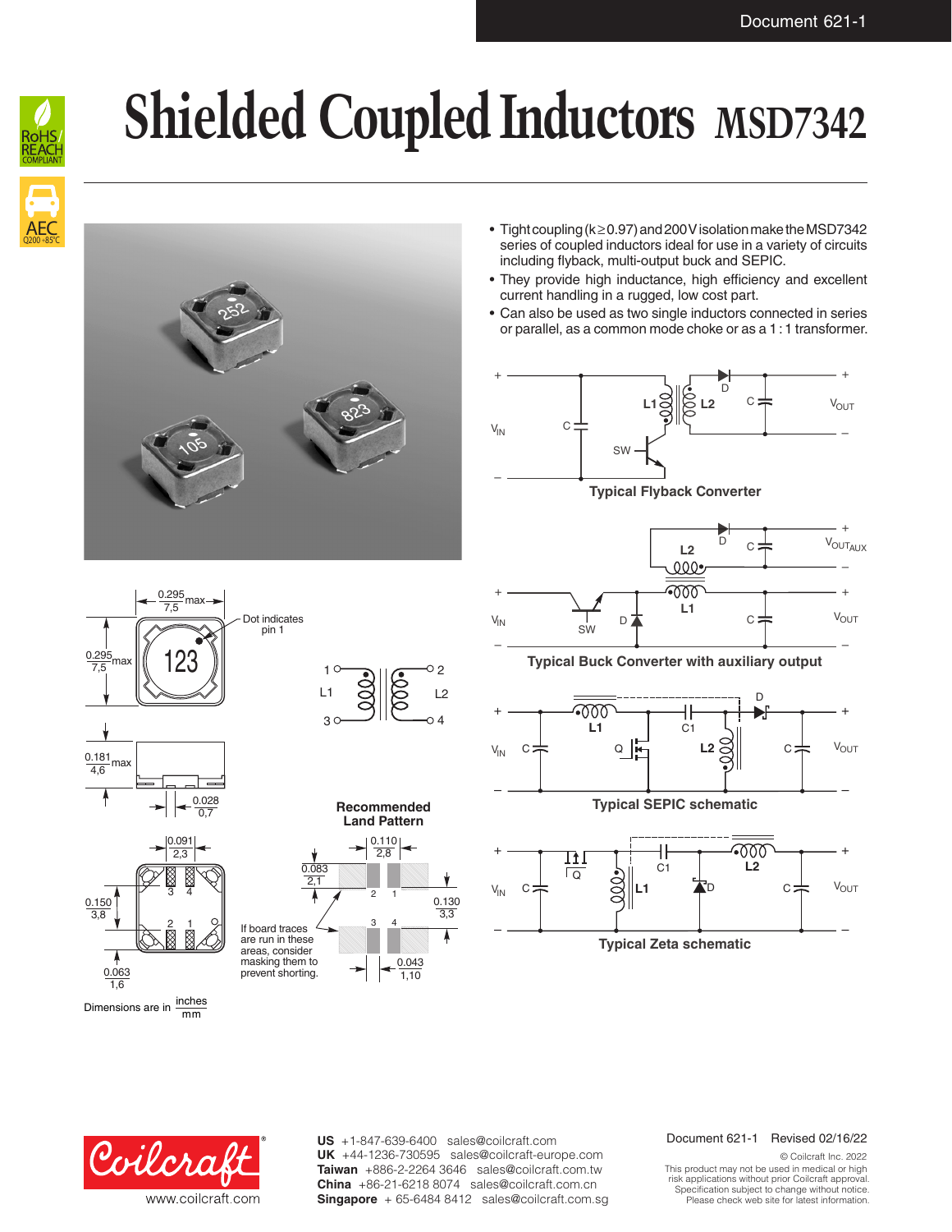+

 $V_{\text{OUT_{AUX}}}$ 

–

V<sub>OUT</sub>



# **Shielded Coupled Inductors MSD7342**





- Tight coupling (k ≥ 0.97) and 200V isolation make the MSD7342 series of coupled inductors ideal for use in a variety of circuits including flyback, multi-output buck and SEPIC.
- They provide high inductance, high efficiency and excellent current handling in a rugged, low cost part.
- Can also be used as two single inductors connected in series or parallel, as a common mode choke or as a 1:1 transformer.









1,10

– – **Typical Buck Converter with auxiliary output**

D<sup>★</sup>

SW

**L1**

+ +

**L2**

 $000$ 

D

 $\circ$ :

 $\overline{C}$ 



**Typical SEPIC schematic**



Dimensions are in  $\frac{\text{inches}}{\text{mm}}$ 



US +1-847-639-6400 sales@coilcraft.com UK +44-1236-730595 sales@coilcraft-europe.com **Taiwan** +886-2-2264 3646 sales@coilcraft.com.tw **China** +86-21-6218 8074 sales@coilcraft.com.cn **Singapore** + 65-6484 8412 sales@coilcraft.com.sg

### Document 621-1 Revised 02/16/22

© Coilcraft Inc. 2022 This product may not be used in medical or high risk applications without prior Coilcraft approval. Specification subject to change without notice. Please check web site for latest information.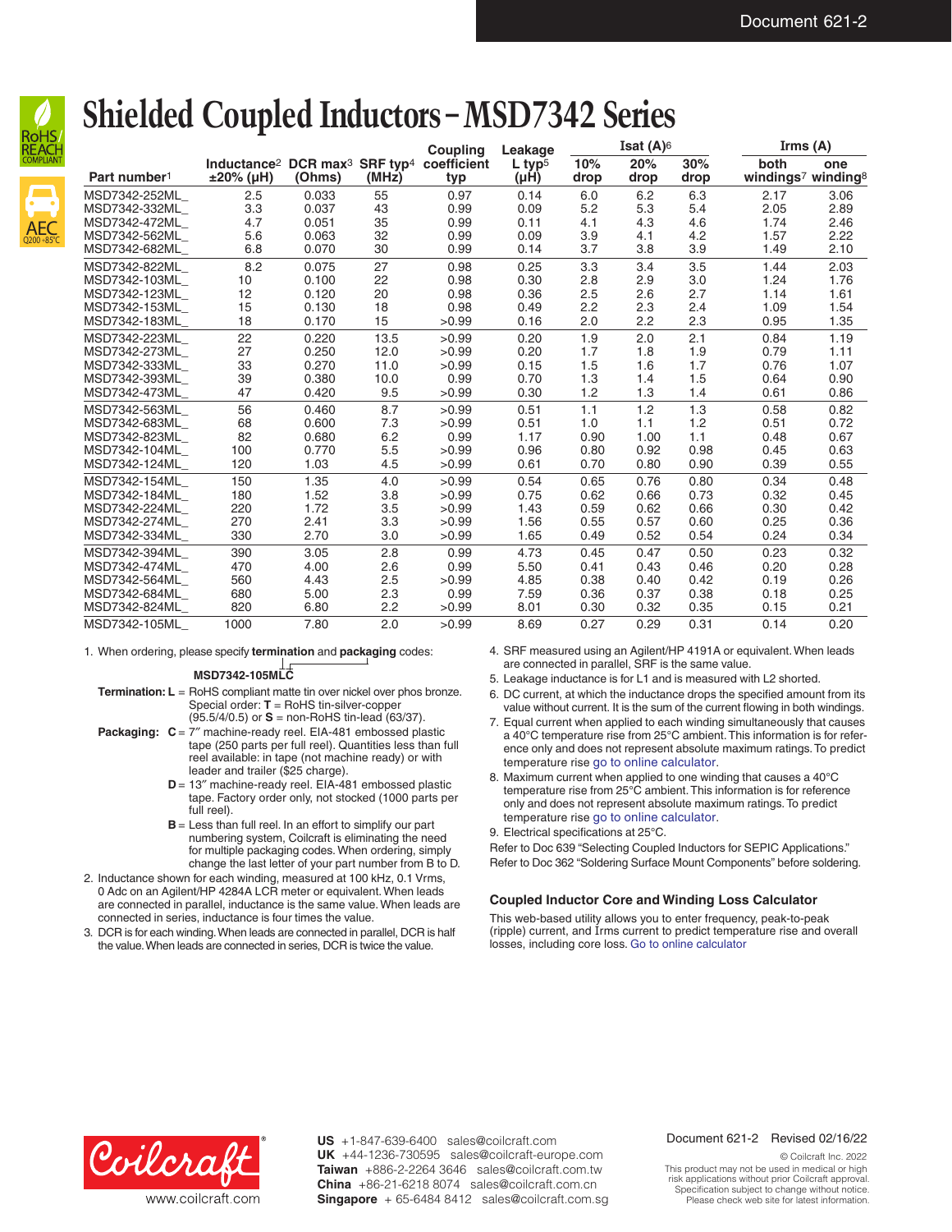

AEC Q200 +85°C

## **Shielded Coupled Inductors – MSD7342 Series**

|                          |                                                                                            |        |       | <b>Coupling</b> | Leakage                      | Isat $(A)$ <sup>6</sup> |             |             | Irms $(A)$                 |      |
|--------------------------|--------------------------------------------------------------------------------------------|--------|-------|-----------------|------------------------------|-------------------------|-------------|-------------|----------------------------|------|
| Part number <sup>1</sup> | Inductance <sup>2</sup> DCR max <sup>3</sup> SRF typ <sup>4</sup> coefficient<br>±20% (µH) | (Ohms) | (MHz) | typ             | $L$ typ <sup>5</sup><br>(µH) | 10%<br>drop             | 20%<br>drop | 30%<br>drop | both<br>windings7 winding8 | one  |
| MSD7342-252ML            | 2.5                                                                                        | 0.033  | 55    | 0.97            | 0.14                         | 6.0                     | 6.2         | 6.3         | 2.17                       | 3.06 |
| MSD7342-332ML            | 3.3                                                                                        | 0.037  | 43    | 0.99            | 0.09                         | 5.2                     | 5.3         | 5.4         | 2.05                       | 2.89 |
| MSD7342-472ML            | 4.7                                                                                        | 0.051  | 35    | 0.99            | 0.11                         | 4.1                     | 4.3         | 4.6         | 1.74                       | 2.46 |
| MSD7342-562ML            | 5.6                                                                                        | 0.063  | 32    | 0.99            | 0.09                         | 3.9                     | 4.1         | 4.2         | 1.57                       | 2.22 |
| MSD7342-682ML            | 6.8                                                                                        | 0.070  | 30    | 0.99            | 0.14                         | 3.7                     | 3.8         | 3.9         | 1.49                       | 2.10 |
| MSD7342-822ML            | 8.2                                                                                        | 0.075  | 27    | 0.98            | 0.25                         | 3.3                     | 3.4         | 3.5         | 1.44                       | 2.03 |
| MSD7342-103ML            | 10                                                                                         | 0.100  | 22    | 0.98            | 0.30                         | 2.8                     | 2.9         | 3.0         | 1.24                       | 1.76 |
| MSD7342-123ML            | 12                                                                                         | 0.120  | 20    | 0.98            | 0.36                         | 2.5                     | 2.6         | 2.7         | 1.14                       | 1.61 |
| MSD7342-153ML            | 15                                                                                         | 0.130  | 18    | 0.98            | 0.49                         | 2.2                     | 2.3         | 2.4         | 1.09                       | 1.54 |
| MSD7342-183ML            | 18                                                                                         | 0.170  | 15    | >0.99           | 0.16                         | 2.0                     | 2.2         | 2.3         | 0.95                       | 1.35 |
| MSD7342-223ML            | 22                                                                                         | 0.220  | 13.5  | >0.99           | 0.20                         | 1.9                     | 2.0         | 2.1         | 0.84                       | 1.19 |
| MSD7342-273ML            | 27                                                                                         | 0.250  | 12.0  | >0.99           | 0.20                         | 1.7                     | 1.8         | 1.9         | 0.79                       | 1.11 |
| MSD7342-333ML            | 33                                                                                         | 0.270  | 11.0  | >0.99           | 0.15                         | 1.5                     | 1.6         | 1.7         | 0.76                       | 1.07 |
| MSD7342-393ML            | 39                                                                                         | 0.380  | 10.0  | 0.99            | 0.70                         | 1.3                     | 1.4         | 1.5         | 0.64                       | 0.90 |
| MSD7342-473ML            | 47                                                                                         | 0.420  | 9.5   | >0.99           | 0.30                         | 1.2                     | 1.3         | 1.4         | 0.61                       | 0.86 |
| MSD7342-563ML            | 56                                                                                         | 0.460  | 8.7   | >0.99           | 0.51                         | 1.1                     | 1.2         | 1.3         | 0.58                       | 0.82 |
| MSD7342-683ML            | 68                                                                                         | 0.600  | 7.3   | >0.99           | 0.51                         | 1.0                     | 1.1         | 1.2         | 0.51                       | 0.72 |
| MSD7342-823ML            | 82                                                                                         | 0.680  | 6.2   | 0.99            | 1.17                         | 0.90                    | 1.00        | 1.1         | 0.48                       | 0.67 |
| MSD7342-104ML            | 100                                                                                        | 0.770  | 5.5   | >0.99           | 0.96                         | 0.80                    | 0.92        | 0.98        | 0.45                       | 0.63 |
| MSD7342-124ML            | 120                                                                                        | 1.03   | 4.5   | >0.99           | 0.61                         | 0.70                    | 0.80        | 0.90        | 0.39                       | 0.55 |
| MSD7342-154ML            | 150                                                                                        | 1.35   | 4.0   | >0.99           | 0.54                         | 0.65                    | 0.76        | 0.80        | 0.34                       | 0.48 |
| MSD7342-184ML            | 180                                                                                        | 1.52   | 3.8   | >0.99           | 0.75                         | 0.62                    | 0.66        | 0.73        | 0.32                       | 0.45 |
| MSD7342-224ML            | 220                                                                                        | 1.72   | 3.5   | >0.99           | 1.43                         | 0.59                    | 0.62        | 0.66        | 0.30                       | 0.42 |
| MSD7342-274ML            | 270                                                                                        | 2.41   | 3.3   | >0.99           | 1.56                         | 0.55                    | 0.57        | 0.60        | 0.25                       | 0.36 |
| MSD7342-334ML            | 330                                                                                        | 2.70   | 3.0   | >0.99           | 1.65                         | 0.49                    | 0.52        | 0.54        | 0.24                       | 0.34 |
| MSD7342-394ML            | 390                                                                                        | 3.05   | 2.8   | 0.99            | 4.73                         | 0.45                    | 0.47        | 0.50        | 0.23                       | 0.32 |
| MSD7342-474ML            | 470                                                                                        | 4.00   | 2.6   | 0.99            | 5.50                         | 0.41                    | 0.43        | 0.46        | 0.20                       | 0.28 |
| MSD7342-564ML            | 560                                                                                        | 4.43   | 2.5   | >0.99           | 4.85                         | 0.38                    | 0.40        | 0.42        | 0.19                       | 0.26 |
| MSD7342-684ML            | 680                                                                                        | 5.00   | 2.3   | 0.99            | 7.59                         | 0.36                    | 0.37        | 0.38        | 0.18                       | 0.25 |
| MSD7342-824ML            | 820                                                                                        | 6.80   | 2.2   | >0.99           | 8.01                         | 0.30                    | 0.32        | 0.35        | 0.15                       | 0.21 |
| MSD7342-105ML            | 1000                                                                                       | 7.80   | 2.0   | >0.99           | 8.69                         | 0.27                    | 0.29        | 0.31        | 0.14                       | 0.20 |

1. When ordering, please specify **termination** and **packaging** codes:

**MSD7342-105MLC**

**Termination: L** = RoHS compliant matte tin over nickel over phos bronze. Special order: **T** = RoHS tin-silver-copper (95.5/4/0.5) or **S** = non-RoHS tin-lead (63/37).

- **Packaging: C** = 7″ machine-ready reel. EIA-481 embossed plastic tape (250 parts per full reel). Quantities less than full reel available: in tape (not machine ready) or with leader and trailer (\$25 charge).
	- **D** = 13″ machine-ready reel. EIA-481 embossed plastic tape. Factory order only, not stocked (1000 parts per full reel).
	- **B** = Less than full reel. In an effort to simplify our part numbering system, Coilcraft is eliminating the need for multiple packaging codes. When ordering, simply change the last letter of your part number from B to D.
- 2. Inductance shown for each winding, measured at 100 kHz, 0.1 Vrms, 0 Adc on an Agilent/HP 4284A LCR meter or equivalent. When leads are connected in parallel, inductance is the same value. When leads are connected in series, inductance is four times the value.
- 3. DCR is for each winding. When leads are connected in parallel, DCR is half the value. When leads are connected in series, DCR is twice the value.
- 4. SRF measured using an Agilent/HP 4191A or equivalent. When leads are connected in parallel, SRF is the same value.
- 5. Leakage inductance is for L1 and is measured with L2 shorted.
- 6. DC current, at which the inductance drops the specified amount from its value without current. It is the sum of the current flowing in both windings.
- 7. Equal current when applied to each winding simultaneously that causes a 40°C temperature rise from 25°C ambient. This information is for reference only and does not represent absolute maximum ratings. To predict temperature rise go to [online calculator.](http://www.coilcraft.com/apps/loss_coupled/loss_1.cfm?family=msd7342)
- 8. Maximum current when applied to one winding that causes a 40°C temperature rise from 25°C ambient. This information is for reference only and does not represent absolute maximum ratings. To predict temperature rise go to [online calculator.](http://www.coilcraft.com/apps/loss_coupled/loss_1.cfm?family=msd7342)
- 9. Electrical specifications at 25°C.

Refer to Doc 639 "Selecting Coupled Inductors for SEPIC Applications." Refer to Doc 362 "Soldering Surface Mount Components" before soldering.

## **Coupled Inductor Core and Winding Loss Calculator**

This web-based utility allows you to enter frequency, peak-to-peak (ripple) current, and Irms current to predict temperature rise and overall losses, including core loss. [Go to online calculator](http://www.coilcraft.com/apps/loss_coupled/loss_1.cfm?family=msd7342)



 $US + 1-847-639-6400$  sales@coilcraft.com Please check our website for latest information. Document 621-2 Revised 02/23/11 **US** +1-847-639-6400 sales@coilcraft.com **UK** +44-1236-730595 sales@coilcraft-europe.com **Taiwan** +886-2-2264 3646 sales@coilcraft.com.tw **China** +86-21-6218 8074 sales@coilcraft.com.cn **Singapore** + 65-6484 8412 sales@coilcraft.com.sg

## Document 621-2 Revised 02/16/22

© Coilcraft Inc. 2022 This product may not be used in medical or high risk applications without prior Coilcraft approval. Specification subject to change without notice. Please check web site for latest information.